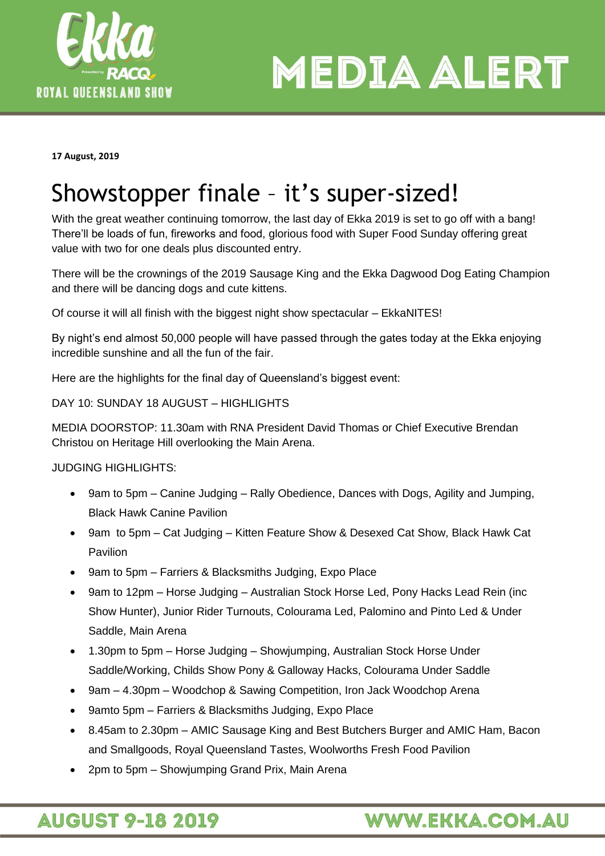

**MEDIA ALERT** 

**17 August, 2019**

# Showstopper finale – it's super-sized!

With the great weather continuing tomorrow, the last day of Ekka 2019 is set to go off with a bang! There'll be loads of fun, fireworks and food, glorious food with Super Food Sunday offering great value with two for one deals plus discounted entry.

There will be the crownings of the 2019 Sausage King and the Ekka Dagwood Dog Eating Champion and there will be dancing dogs and cute kittens.

Of course it will all finish with the biggest night show spectacular – EkkaNITES!

By night's end almost 50,000 people will have passed through the gates today at the Ekka enjoying incredible sunshine and all the fun of the fair.

Here are the highlights for the final day of Queensland's biggest event:

DAY 10: SUNDAY 18 AUGUST – HIGHLIGHTS

MEDIA DOORSTOP: 11.30am with RNA President David Thomas or Chief Executive Brendan Christou on Heritage Hill overlooking the Main Arena.

JUDGING HIGHLIGHTS:

- 9am to 5pm Canine Judging Rally Obedience, Dances with Dogs, Agility and Jumping, Black Hawk Canine Pavilion
- 9am to 5pm Cat Judging Kitten Feature Show & Desexed Cat Show, Black Hawk Cat Pavilion
- 9am to 5pm Farriers & Blacksmiths Judging, Expo Place
- 9am to 12pm Horse Judging Australian Stock Horse Led, Pony Hacks Lead Rein (inc Show Hunter), Junior Rider Turnouts, Colourama Led, Palomino and Pinto Led & Under Saddle, Main Arena
- 1.30pm to 5pm Horse Judging Showjumping, Australian Stock Horse Under Saddle/Working, Childs Show Pony & Galloway Hacks, Colourama Under Saddle
- 9am 4.30pm Woodchop & Sawing Competition, Iron Jack Woodchop Arena
- 9amto 5pm Farriers & Blacksmiths Judging, Expo Place
- 8.45am to 2.30pm AMIC Sausage King and Best Butchers Burger and AMIC Ham, Bacon and Smallgoods, Royal Queensland Tastes, Woolworths Fresh Food Pavilion
- 2pm to 5pm Showjumping Grand Prix, Main Arena

# **AUGUST 9-18 2019**

# **WWW.EKKA.COM.AU**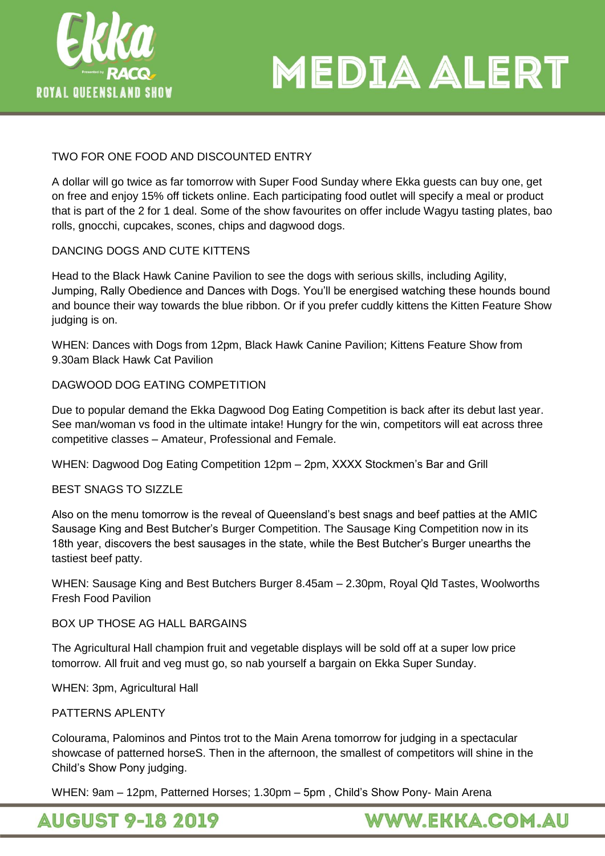



## TWO FOR ONE FOOD AND DISCOUNTED ENTRY

A dollar will go twice as far tomorrow with Super Food Sunday where Ekka guests can buy one, get on free and enjoy 15% off tickets online. Each participating food outlet will specify a meal or product that is part of the 2 for 1 deal. Some of the show favourites on offer include Wagyu tasting plates, bao rolls, gnocchi, cupcakes, scones, chips and dagwood dogs.

#### DANCING DOGS AND CUTE KITTENS

Head to the Black Hawk Canine Pavilion to see the dogs with serious skills, including Agility, Jumping, Rally Obedience and Dances with Dogs. You'll be energised watching these hounds bound and bounce their way towards the blue ribbon. Or if you prefer cuddly kittens the Kitten Feature Show judging is on.

WHEN: Dances with Dogs from 12pm, Black Hawk Canine Pavilion; Kittens Feature Show from 9.30am Black Hawk Cat Pavilion

#### DAGWOOD DOG EATING COMPETITION

Due to popular demand the Ekka Dagwood Dog Eating Competition is back after its debut last year. See man/woman vs food in the ultimate intake! Hungry for the win, competitors will eat across three competitive classes – Amateur, Professional and Female.

WHEN: Dagwood Dog Eating Competition 12pm – 2pm, XXXX Stockmen's Bar and Grill

#### BEST SNAGS TO SIZZLE

Also on the menu tomorrow is the reveal of Queensland's best snags and beef patties at the AMIC Sausage King and Best Butcher's Burger Competition. The Sausage King Competition now in its 18th year, discovers the best sausages in the state, while the Best Butcher's Burger unearths the tastiest beef patty.

WHEN: Sausage King and Best Butchers Burger 8.45am – 2.30pm, Royal Qld Tastes, Woolworths Fresh Food Pavilion

## BOX UP THOSE AG HALL BARGAINS

The Agricultural Hall champion fruit and vegetable displays will be sold off at a super low price tomorrow. All fruit and veg must go, so nab yourself a bargain on Ekka Super Sunday.

WHEN: 3pm, Agricultural Hall

#### PATTERNS APLENTY

Colourama, Palominos and Pintos trot to the Main Arena tomorrow for judging in a spectacular showcase of patterned horseS. Then in the afternoon, the smallest of competitors will shine in the Child's Show Pony judging.

WHEN: 9am – 12pm, Patterned Horses; 1.30pm – 5pm , Child's Show Pony- Main Arena

**AUGUST 9-18 2019** 

**WWW.EKKA.COM.AU**